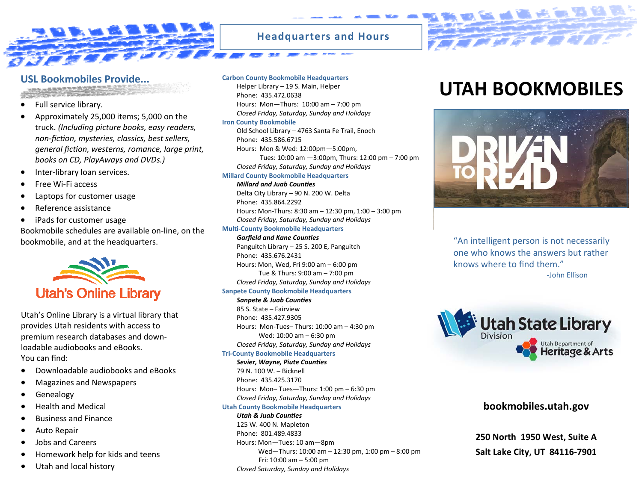

## **Headquarters and Hours**

- 
- Full service library.
- Approximately 25,000 items; 5,000 on the truck. *(Including picture books, easy readers, non‐ficƟon, mysteries, classics, best sellers, general ficƟon, westerns, romance, large print, books on CD, PlayAways and DVDs.)*
- Inter-library loan services.
- Free Wi‐Fi access
- Laptops for customer usage
- Reference assistance
- iPads for customer usage

Bookmobile schedules are available on‐line, on the bookmobile, and at the headquarters.



Utah's Online Library is <sup>a</sup> virtual library that provides Utah residents with access to premium research databases and down‐ loadable audiobooks and eBooks. You can find:

- Downloadable audiobooks and eBooks
- Magazines and Newspapers
- Genealogy
- Health and Medical
- Business and Finance
- Auto Repair
- Jobs and Careers
- Homework help for kids and teens
- Utah and local history

### **Carbon County Bookmobile Headquarters**

Helper Library – 19 S. Main, Helper Phone: 435.472.0638Hours: Mon—Thurs: 10:00 am – 7:00 pm *Closed Friday, Saturday, Sunday and Holidays*

### **Iron County Bookmobile**

Old School Library – 4763 Santa Fe Trail, Enoch Phone: 435.586.6715Hours: Mon & Wed: 12:00pm—5:00pm,

Tues: 10:00 am —3:00pm, Thurs: 12:00 pm – 7:00 pm *Closed Friday, Saturday, Sunday and Holidays*

### **Millard County Bookmobile Headquarters**

### *Millard and Juab CounƟes*

Delta City Library – 90 N. 200 W. Delta Phone: 435.864.2292Hours: Mon‐Thurs: 8:30 am– 12:30 pm, 1:00 – 3:00 pm *Closed Friday, Saturday, Sunday and Holidays*

### **MulƟ‐County Bookmobile Headquarters**

*Garfield and Kane Coun Ɵes* Panguitch Library – 25 S. 200 E, Panguitch Phone: 435.676.2431Hours: Mon, Wed, Fri 9:00 am – 6:00 pm Tue & Thurs: 9:00 am– 7:00 pm *Closed Friday, Saturday, Sunday and Holidays* **Sanpete County Bookmobile Headquarters**

### *Sanpete & Juab Coun Ɵes*

85 S. State – FairviewPhone: 435.427.9305Hours: Mon‐Tues– Thurs: 10:00 am– 4:30 pm Wed: 10:00 am – 6:30 pm *Closed Friday, Saturday, Sunday and Holidays*

### **Tri‐County Bookmobile Headquarters**

*Sevier, Wayne, Piute Coun Ɵes*  79 N. 100 W. – Bicknell Phone: 435.425.3170Hours: Mon– Tues—Thurs: 1:00 pm – 6:30 pm *Closed Friday, Saturday, Sunday and Holidays*

### **Utah County Bookmobile Headquarters**

*Utah & Juab CounƟes* 125 W. 400 N. Mapleton Phone: 801.489.4833Hours: Mon—Tues: 10 am—8pm Wed—Thurs: 10:00 am– 12:30 pm, 1:00 pm – 8:00 pm Fri: 10:00 am– 5:00 pm *Closed Saturday, Sunday and Holidays*

# USL Bookmobiles Provide... Carbon County Bookmobile Headquarters<br>
Helper Library – 19 S. Main, Helper<br>
Phone: 435,472 0638

**EX ANY ANY AN** 



"An intelligent person is not necessarily one who knows the answers but rather knows where to find them."

‐John Ellison



### **bookmobiles.utah.gov**

**250 North 1950 West, Suite ASalt Lake City, UT 84116‐7901**